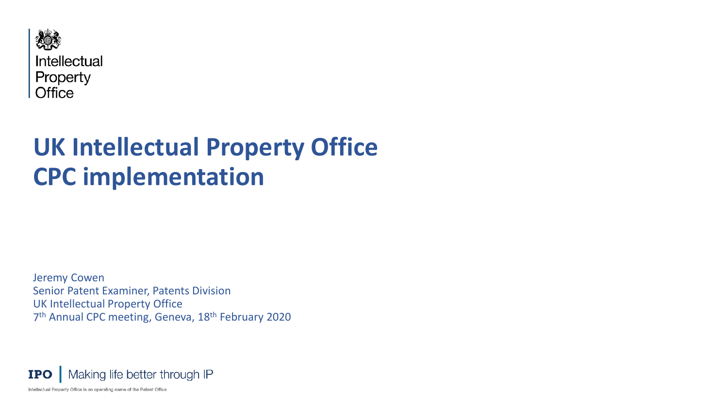

# **UK Intellectual Property Office CPC implementation**

Jeremy Cowen Senior Patent Examiner, Patents Division UK Intellectual Property Office 7<sup>th</sup> Annual CPC meeting, Geneva, 18<sup>th</sup> February 2020

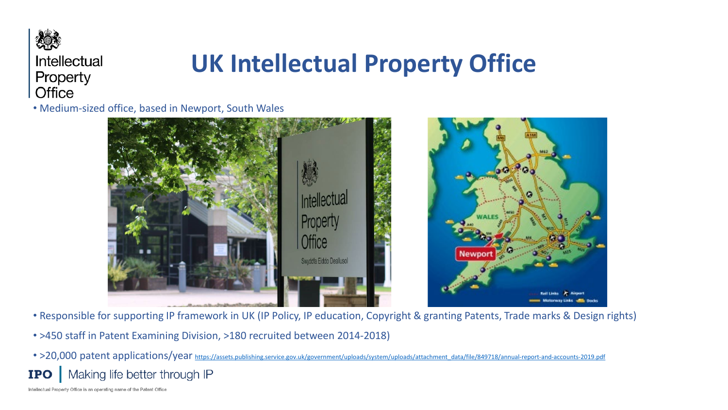

## **UK Intellectual Property Office**

• Medium-sized office, based in Newport, South Wales



- Responsible for supporting IP framework in UK (IP Policy, IP education, Copyright & granting Patents, Trade marks & Design rights)
- >450 staff in Patent Examining Division, >180 recruited between 2014-2018)
- >20,000 patent applications/year [https://assets.publishing.service.gov.uk/government/uploads/system/uploads/attachment\\_data/file/849718/annual-report-and-accounts-2019.pdf](https://assets.publishing.service.gov.uk/government/uploads/system/uploads/attachment_data/file/849718/annual-report-and-accounts-2019.pdf) Making life better through IP **IPO**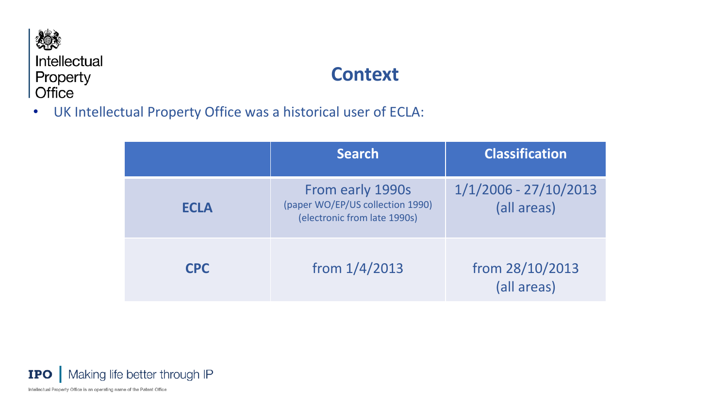

### **Context**

• UK Intellectual Property Office was a historical user of ECLA:

|             | <b>Search</b>                                                                        | <b>Classification</b>                  |
|-------------|--------------------------------------------------------------------------------------|----------------------------------------|
| <b>ECLA</b> | From early 1990s<br>(paper WO/EP/US collection 1990)<br>(electronic from late 1990s) | $1/1/2006 - 27/10/2013$<br>(all areas) |
| <b>CPC</b>  | from $1/4/2013$                                                                      | from 28/10/2013<br>(all areas)         |

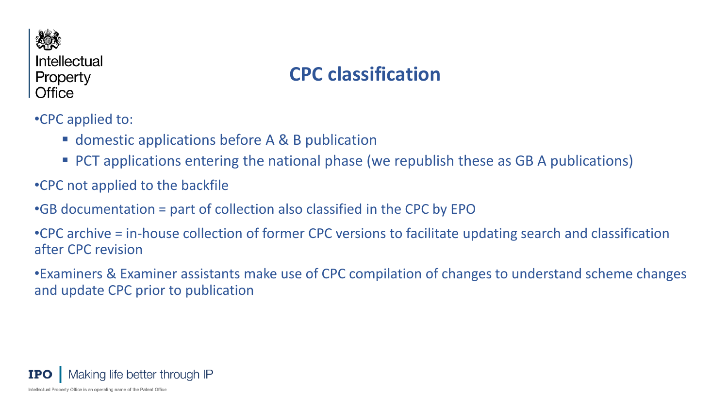

### **CPC classification**

•CPC applied to:

- domestic applications before A & B publication
- **PCT** applications entering the national phase (we republish these as GB A publications)
- •CPC not applied to the backfile
- •GB documentation = part of collection also classified in the CPC by EPO

•CPC archive = in-house collection of former CPC versions to facilitate updating search and classification after CPC revision

•Examiners & Examiner assistants make use of CPC compilation of changes to understand scheme changes and update CPC prior to publication

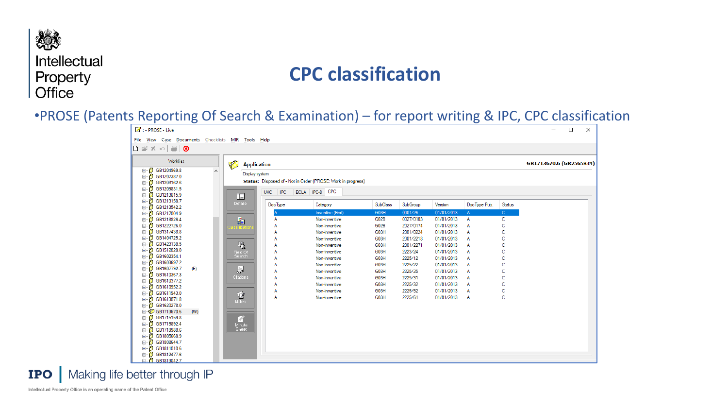### **CPC classification**

#### •PROSE (Patents Reporting Of Search & Examination) – for report writing & IPC, CPC classification



**IPO** Making life better through IP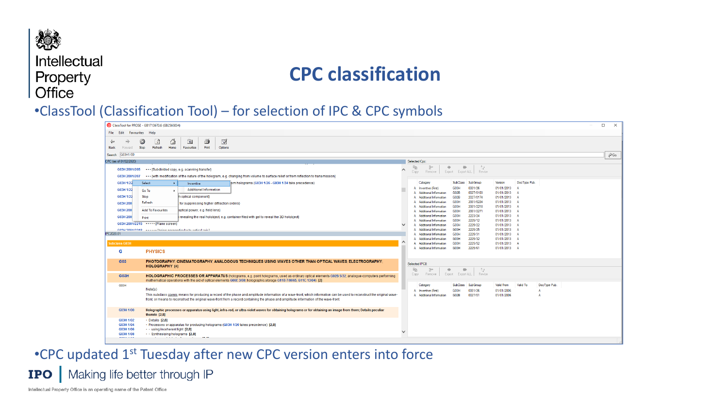### **CPC classification**

#### •ClassTool (Classification Tool) – for selection of IPC & CPC symbols

| ClassTool for PROSE - GB1713670.6 (GB2565834)                                                                                                                                                                                                                                   | $\times$<br>$\Box$                                                                                                                        |
|---------------------------------------------------------------------------------------------------------------------------------------------------------------------------------------------------------------------------------------------------------------------------------|-------------------------------------------------------------------------------------------------------------------------------------------|
| File Edit Favourites Help                                                                                                                                                                                                                                                       |                                                                                                                                           |
| 4<br>♦<br>$\sqrt{2}$<br>O<br>$\overrightarrow{v}$<br>$\mathbb Z$<br>$\Rightarrow$<br>Stop<br>Refresh<br>Print<br>Favourites<br>Options<br><b>Back</b><br>Home<br>Forward                                                                                                        |                                                                                                                                           |
| G03H1/00<br>Search                                                                                                                                                                                                                                                              | $\partial$ Go.                                                                                                                            |
| CPC (as of 01/02/2020)                                                                                                                                                                                                                                                          | Selected Cpc:                                                                                                                             |
| {Subdivided copy, e.g. scanning transfer}<br>G03H 2001/205                                                                                                                                                                                                                      | ಿನ್<br>晒<br>$\mathbb{R}^n$<br>一<br>一<br>∧<br>Remove   Export Export ALL   Revise<br>Copy                                                  |
| {with modification of the nature of the hologram, e.g. changing from volume to surface relief or from reflection to transmission}<br>G03H 2001/207                                                                                                                              |                                                                                                                                           |
| G03H 1/22<br>Select<br>lom holograms (G03H 1/26 - G03H 1/34 take precedence)<br>$\rightarrow$<br>Inventive                                                                                                                                                                      | <b>SubClass</b><br>SubGroup<br>DocType Pub.<br>Version<br>Category                                                                        |
| <b>Additional Information</b><br>G03H 1/22<br>Go To                                                                                                                                                                                                                             | G03H<br>0001/26<br>01/01/2013<br>A Inventive (First)                                                                                      |
| G03H 1/22<br>Stop<br>n optical component}                                                                                                                                                                                                                                       | A Additional Information<br>G02B<br>0027/0103<br>01/01/2013<br>A<br>A Additional Information<br>G02B<br>2027/0174<br>01/01/2013 A         |
| Refresh<br>G03H 200<br>for suppressing higher diffraction orders}                                                                                                                                                                                                               | A Additional Information<br>G03H<br>2001/0224<br>01/01/2013 A                                                                             |
| G03H 200<br><b>Add To Favourites</b><br>optical power, e.g. field lens}                                                                                                                                                                                                         | A Additional Information<br>G <sub>03</sub> H<br>2001/2218<br>01/01/2013 A                                                                |
| G03H 200                                                                                                                                                                                                                                                                        | G03H<br>2001/2271<br>01/01/2013 A<br>A Additional Information<br>G <sub>03</sub> H<br>2223/24<br>01/01/2013 A<br>A Additional Information |
| revealing the real holobject, e.g. container filed with gel to reveal the 3D holobject)<br>Print                                                                                                                                                                                | G03H<br>2225/12<br>01/01/2013 A<br>A Additional Information                                                                               |
| G03H 2001/2215 •••••• {Plane screen}                                                                                                                                                                                                                                            | 2225/22<br>A Additional Information<br>G03H<br>01/01/2013 A                                                                               |
| CARL DAMA of telephonon national course of CLEAN DRAG.<br>PC2020.01                                                                                                                                                                                                             | 2225/25<br>01/01/2013 A<br>A Additional Information<br>G03H<br>G03H<br>2225/31<br>01/01/2013 A<br>A Additional Information                |
|                                                                                                                                                                                                                                                                                 | 2225/32<br>01/01/2013 A<br>A Additional Information<br>G03H                                                                               |
| <b>Subclass G03H</b>                                                                                                                                                                                                                                                            | 2225/52<br>01/01/2013 A<br>A Additional Information<br>G <sub>03</sub> H<br>2225/61                                                       |
| <b>PHYSICS</b><br>G                                                                                                                                                                                                                                                             | G03H<br>01/01/2013 A<br>A Additional Information                                                                                          |
| G03<br>PHOTOGRAPHY: CINEMATOGRAPHY: ANALOGOUS TECHNIQUES USING WAVES OTHER THAN OPTICAL WAVES: ELECTROGRAPHY:                                                                                                                                                                   | Selected IPC8:                                                                                                                            |
| <b>HOLOGRAPHY</b> [4]                                                                                                                                                                                                                                                           | 龟<br>-2.6<br>₽<br>一<br>$\Rightarrow$                                                                                                      |
| G03H<br>HOLOGRAPHIC PROCESSES OR APPARATUS (holograms, e.g. point holograms, used as ordinary optical elements G02B 5/32; analogue computers performing<br>mathematical operations with the aid of optical elements G06E 3/00; holographic storage G11B 7/0065, G11C 13/04) [2] | Export Export ALL Revise<br>Copy<br>Remove                                                                                                |
| G03H                                                                                                                                                                                                                                                                            | Valid To<br><b>SubClass</b><br>SubGroup<br><b>Valid From</b><br>DocType Pub.<br>Category                                                  |
| Note(s)<br>This subclass covers means for producing a record of the phase and amplitude information of a wave-front, which information can be used to reconstruct the original wave-                                                                                            | 0001/26<br>01/01/2006<br>A Inventive (First)<br>G <sub>03</sub> H<br>0027/01<br>A Additional Information<br>G02B<br>01/01/2006            |
| front, or means to reconstruct the original wave-front from a record containing the phase and amplitude information of the wave-front.                                                                                                                                          |                                                                                                                                           |
| G03H 1/00<br>Holographic processes or apparatus using light, infra-red, or ultra-violet waves for obtaining holograms or for obtaining an image from them; Details peculiar<br>thereto $[2,8]$                                                                                  |                                                                                                                                           |
| $\cdot$ Details [2,8]<br>G03H 1/02                                                                                                                                                                                                                                              |                                                                                                                                           |
| G03H 1/04<br>· Processes or apparatus for producing holograms (G03H 1/26 takes precedence) [2,8]<br>G03H 1/06<br>using incoherent light [2,8]                                                                                                                                   |                                                                                                                                           |
| G03H 1/08<br>$\cdots$ Synthesising holograms [2,8]                                                                                                                                                                                                                              | v                                                                                                                                         |
| ---------<br>$-$                                                                                                                                                                                                                                                                |                                                                                                                                           |
|                                                                                                                                                                                                                                                                                 |                                                                                                                                           |

•CPC updated 1st Tuesday after new CPC version enters into force**IPO** | Making life better through IP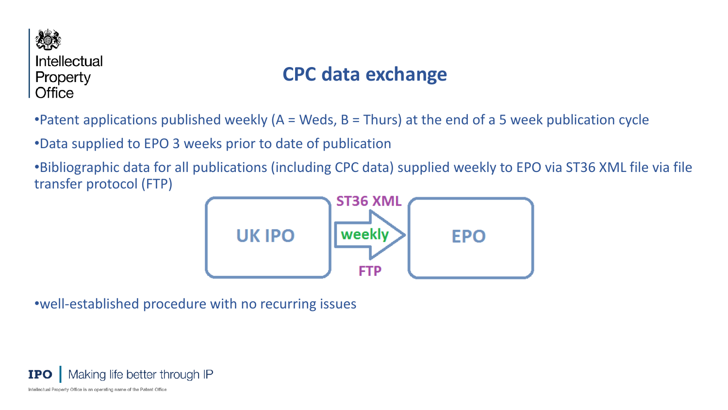

### **CPC data exchange**

•Patent applications published weekly (A = Weds, B = Thurs) at the end of a 5 week publication cycle

•Data supplied to EPO 3 weeks prior to date of publication

•Bibliographic data for all publications (including CPC data) supplied weekly to EPO via ST36 XML file via file transfer protocol (FTP)



•well-established procedure with no recurring issues

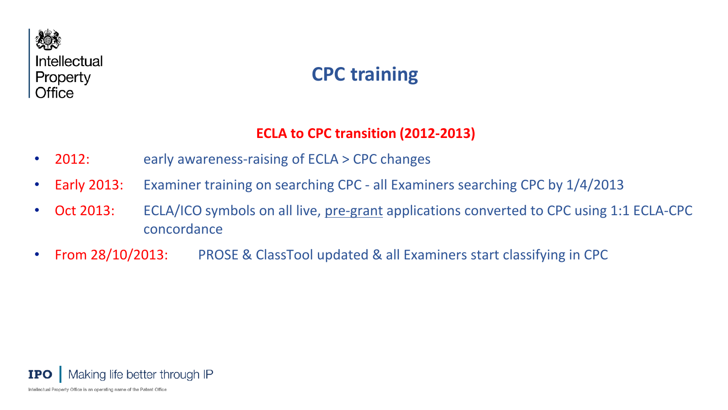

### **CPC training**

#### **ECLA to CPC transition (2012-2013)**

- 2012: early awareness-raising of ECLA > CPC changes
- Early 2013: Examiner training on searching CPC all Examiners searching CPC by 1/4/2013
- Oct 2013: ECLA/ICO symbols on all live, pre-grant applications converted to CPC using 1:1 ECLA-CPC concordance
- From 28/10/2013: PROSE & ClassTool updated & all Examiners start classifying in CPC

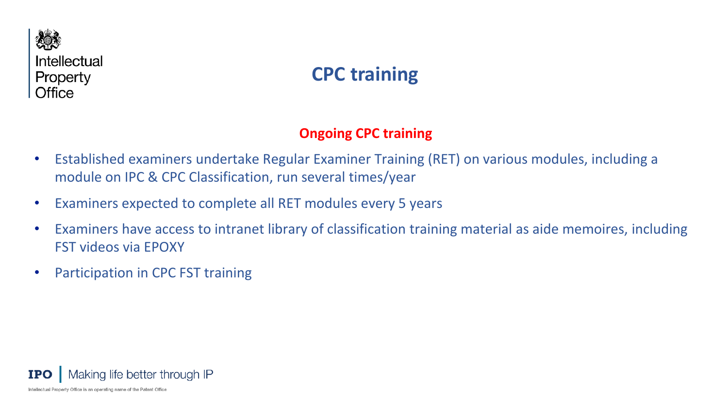

### **CPC training**

#### **Ongoing CPC training**

- Established examiners undertake Regular Examiner Training (RET) on various modules, including a module on IPC & CPC Classification, run several times/year
- Examiners expected to complete all RET modules every 5 years
- Examiners have access to intranet library of classification training material as aide memoires, including FST videos via EPOXY
- Participation in CPC FST training

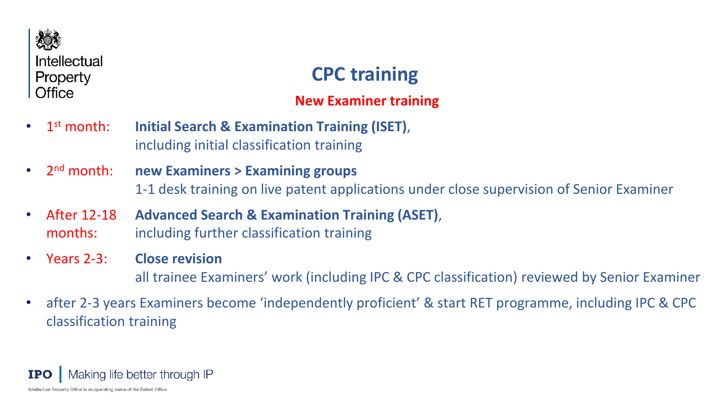

### **CPC training**

#### **New Examiner training**

- 1st month: **Initial Search & Examination Training (ISET)**, including initial classification training
- 2nd month: **new Examiners > Examining groups** 1-1 desk training on live patent applications under close supervision of Senior Examiner
- After 12-18 **Advanced Search & Examination Training (ASET)**, months: including further classification training
- Years 2-3: **Close revision** all trainee Examiners' work (including IPC & CPC classification) reviewed by Senior Examiner
- after 2-3 years Examiners become 'independently proficient' & start RET programme, including IPC & CPC classification training

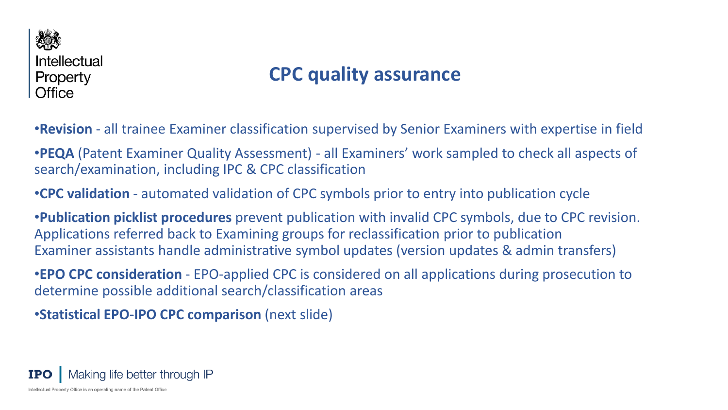

### **CPC quality assurance**

•**Revision** - all trainee Examiner classification supervised by Senior Examiners with expertise in field

•**PEQA** (Patent Examiner Quality Assessment) - all Examiners' work sampled to check all aspects of search/examination, including IPC & CPC classification

•**CPC validation** - automated validation of CPC symbols prior to entry into publication cycle

•**Publication picklist procedures** prevent publication with invalid CPC symbols, due to CPC revision. Applications referred back to Examining groups for reclassification prior to publication Examiner assistants handle administrative symbol updates (version updates & admin transfers)

•**EPO CPC consideration** - EPO-applied CPC is considered on all applications during prosecution to determine possible additional search/classification areas

•**Statistical EPO-IPO CPC comparison** (next slide)

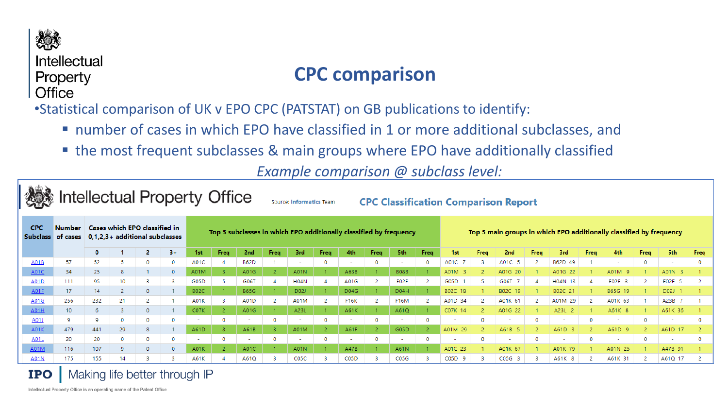

### **CPC comparison**

•Statistical comparison of UK v EPO CPC (PATSTAT) on GB publications to identify:

- number of cases in which EPO have classified in 1 or more additional subclasses, and
- the most frequent subclasses & main groups where EPO have additionally classified

*Example comparison @ subclass level:*

|             | <b>Intellectual Property Office</b><br><b>CPC Classification Comparison Report</b><br><b>Source: Informatics Team</b> |                                                                                                                                         |    |              |              |             |      |             |      |                   |      |                   |      |                          |      |                                                                     |      |                        |             |         |      |                          |      |                          |      |  |  |
|-------------|-----------------------------------------------------------------------------------------------------------------------|-----------------------------------------------------------------------------------------------------------------------------------------|----|--------------|--------------|-------------|------|-------------|------|-------------------|------|-------------------|------|--------------------------|------|---------------------------------------------------------------------|------|------------------------|-------------|---------|------|--------------------------|------|--------------------------|------|--|--|
| <b>CPC</b>  | <b>Number</b><br>Subclass of cases                                                                                    | Cases which EPO classified in<br>Top 5 subclasses in which EPO additionally classified by frequency<br>$0,1,2,3+$ additional subclasses |    |              |              |             |      |             |      |                   |      |                   |      |                          |      | Top 5 main groups in which EPO additionally classified by frequency |      |                        |             |         |      |                          |      |                          |      |  |  |
|             |                                                                                                                       | $\mathbf{0}$                                                                                                                            |    |              | $3+$         | 1st         | Freq | 2nd         | Freq | 3rd               | Freq | 4th               | Freq | 5th                      | Freq | 1st.                                                                | Freq | 2nd                    | <b>Freq</b> | 3rd     | Freq | 4th                      | Freq | 5th                      | Freq |  |  |
| A01B        | 57                                                                                                                    | 52                                                                                                                                      |    | $\mathbf{0}$ | $\circ$      | A01C        |      | <b>B62D</b> |      | ٠                 | 0    |                   | 0    | $\overline{\phantom{a}}$ |      | A01C 7                                                              |      | A01C 5                 |             | B62D 49 |      | $\overline{\phantom{a}}$ | 0    | $\sim$                   | 0    |  |  |
| <b>A01C</b> | 34                                                                                                                    | 25                                                                                                                                      | 8  |              | $\mathbf{0}$ | A01M        |      | A01G        |      | A01N              |      | A63B              |      | <b>B08B</b>              |      | A01M 3                                                              |      | A01G 20                |             | A01G 22 |      | A01M                     |      | A01N                     |      |  |  |
| A01D        | 111                                                                                                                   | 95                                                                                                                                      | 10 | 3            | -3           | G05D        |      | G06T        |      | <b>H04N</b>       |      | A01G              |      | E02F                     |      | G05D                                                                |      | G06T<br>$\overline{7}$ |             | H04N 13 |      | E02F 3                   |      | E02F<br>-5               |      |  |  |
| <b>A01E</b> | 17                                                                                                                    | 14                                                                                                                                      |    | 0            |              | <b>B02C</b> |      | <b>B65G</b> |      | D02J              |      | D04G              |      | D04H                     |      | B02C 18                                                             |      | B02C 19                |             | B02C 21 |      | B65G 19                  |      | D02J                     |      |  |  |
| A01G        | 256                                                                                                                   | 232                                                                                                                                     | 21 |              |              | A01K        |      | A01D        |      | A01M              |      | <b>F16K</b>       |      | <b>F16M</b>              |      | A01D 34                                                             |      | A01K 61                |             | A01M 29 |      | A01K 63                  |      | A23B 7                   |      |  |  |
| <b>A01H</b> | $10-10$                                                                                                               | 6                                                                                                                                       |    |              |              | C07K        |      | A01G        |      | A23L              |      | A61K              |      | A61Q                     |      | C07K 14                                                             |      | A01G 22                |             | A23L 2  |      | A61K 8                   |      | A61K 36                  |      |  |  |
| A01J        | 9                                                                                                                     | 9                                                                                                                                       | 0  | 0            | 0            | $\sim$      |      |             | 0    | $\sim$            |      |                   | 0    | $\sim$                   |      |                                                                     |      |                        |             |         |      | $\overline{\phantom{a}}$ |      | $\sim$                   |      |  |  |
| <b>A01K</b> | 479                                                                                                                   | 441                                                                                                                                     | 29 | 8            |              | A61D        |      | A61B        |      | A01M              |      | A61F              |      | G05D                     |      | A01M 29                                                             |      | A61B 5                 |             | A61D    |      | A61D                     |      | A61D 17                  |      |  |  |
| A01L        | 20                                                                                                                    | 20                                                                                                                                      | 0  | 0            | 0            | $\sim$      |      |             |      | $\sim$            |      |                   | 0    | $\overline{\phantom{0}}$ |      |                                                                     |      |                        |             |         |      | $\overline{\phantom{a}}$ |      | $\overline{\phantom{a}}$ |      |  |  |
| A01M        | 116                                                                                                                   | 107                                                                                                                                     | Q. | $\Omega$     | $\mathbf 0$  | A01K        |      | A01C        |      | <b>A01N</b>       |      | <b>A47B</b>       |      | A61N                     |      | A01C 23                                                             |      | A01K 67                |             | A01K 79 |      | A01N 25                  |      | A47B 91                  |      |  |  |
| A01N        | 175                                                                                                                   | 155                                                                                                                                     | 14 |              |              | A61K        |      | A61Q        |      | C <sub>05</sub> C |      | C <sub>05</sub> D |      | CO5G                     |      | C05D<br><b>Q</b>                                                    |      | $COSG$ 3               |             | A61K 8  |      | A61K 31                  |      | A61Q 17                  |      |  |  |

#### Making life better through IP **IPO**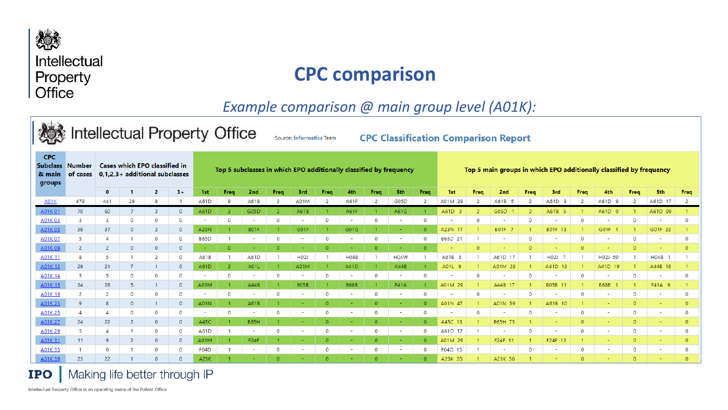

### **CPC comparison**

*Example comparison @ main group level (A01K):*

|                                 | <b>Intellectual Property Office</b><br><b>CPC Classification Comparison Report</b><br><b>Source: Informatics Team</b> |              |                                                                 |          |                    |                                                                    |              |                                  |                |                |          |             |                |                |          |         |                                                                     |                          |          |         |             |                          |              |                          |                |  |  |
|---------------------------------|-----------------------------------------------------------------------------------------------------------------------|--------------|-----------------------------------------------------------------|----------|--------------------|--------------------------------------------------------------------|--------------|----------------------------------|----------------|----------------|----------|-------------|----------------|----------------|----------|---------|---------------------------------------------------------------------|--------------------------|----------|---------|-------------|--------------------------|--------------|--------------------------|----------------|--|--|
| <b>CPC</b><br>82 main<br>groups | Subclass Number<br>of cases                                                                                           |              | Cases which EPO classified in<br>0.1.2.3+ additional subclasses |          |                    | Top 5 subclasses in which EPO additionally classified by frequency |              |                                  |                |                |          |             |                |                |          |         | Top 5 main groups in which EPO additionally classified by frequency |                          |          |         |             |                          |              |                          |                |  |  |
|                                 |                                                                                                                       | 0            |                                                                 | 2        | $3+$               | 1st                                                                | Freq         | 2nd                              | Freq           | 3rd            | Freq     | 4th         | Freq           | <b>5th</b>     | Freq     | 1st     | Freq                                                                | 2nd                      | Freq     | -3rd    | Freq        | 4th                      | Freq         | 5th                      | Freq           |  |  |
| <b>A01K</b>                     | 479                                                                                                                   | 441          | 29                                                              |          |                    | A61D                                                               | 8            | A61B                             | -3             | A01M           | 2        | A61F        | -2             | G05D           |          | A01M 29 |                                                                     | A61B 5                   |          | A61D 3  | 2           | A61D<br>-9               |              | A61D 17                  | 2              |  |  |
| A01K01                          | 70                                                                                                                    | 60           |                                                                 | 3        | $\mathbf{0}$       | A61D                                                               | 3.           | G05D                             | $\overline{2}$ | A61B           |          | A61F        |                | A61G           |          | A61D 3  |                                                                     | G05D                     |          | A61B 5  |             | A61D                     |              | A61D 99                  |                |  |  |
| A01K03                          | 3                                                                                                                     |              | $\Omega$                                                        | $\Omega$ | $\circ$            | $\sim$                                                             | 0            | $\overline{\phantom{a}}$         | 0              | $\sim$         | 0        | ۰           | 0              | $\sim$         | 0        |         |                                                                     | $\overline{\phantom{a}}$ | $\Omega$ |         | $\Omega$    | ٠                        |              | $\overline{\phantom{a}}$ | $\circ$        |  |  |
| A01K05                          | 39                                                                                                                    | 37           | $\Omega$                                                        |          | $\overline{0}$     | A23N                                                               |              | B01F                             |                | G01F           |          | G01G        |                | $\sim$         | $\Omega$ | A23N 17 |                                                                     | B01F 7                   |          | B01F 13 |             | G01F                     |              | G01F 23                  |                |  |  |
| A01K07                          |                                                                                                                       |              |                                                                 |          | $\circ$            | <b>B65D</b>                                                        |              |                                  | 0              |                | ٥        |             | $\circ$        |                |          | B65D 21 |                                                                     |                          | 0        |         | 0           |                          |              | $\overline{\phantom{a}}$ | $\mathbf{0}$   |  |  |
| A01K09                          | 2                                                                                                                     | -2           | $\Omega$                                                        | $\Omega$ | $\circ$            | $\sim$                                                             | $\Omega$     |                                  | ō              |                |          |             | $\Omega$       | ٠              |          |         |                                                                     |                          | $\Omega$ |         | $\Omega$    |                          |              |                          | $\Omega$       |  |  |
| A01K11                          | 8                                                                                                                     | -5           |                                                                 |          | $\mathbf 0$        | A61B                                                               |              | A61D                             |                | H02J           |          | <b>H04B</b> |                | <b>H04W</b>    |          | A61B 5  |                                                                     | A61D 17                  |          | H02J    |             | H02J 50                  |              | H04B                     |                |  |  |
| A01K13                          | 29                                                                                                                    | 21           |                                                                 |          | $\Omega$           | A61D<br>a.                                                         | 2            | A01L<br>$\overline{\phantom{a}}$ | $\mathbf{0}$   | A01M<br>$\sim$ | 0        | A41D<br>÷   | $\mathbf{0}$   | A44B<br>$\sim$ |          | A01L 9  |                                                                     | A01M 29                  |          | A41D 13 |             | A41D 19                  |              | A44B 18                  | $\overline{0}$ |  |  |
| A01K 14<br>A01K15               | 5.<br>34                                                                                                              | -5<br>28     |                                                                 |          | $\circ$<br>$\circ$ | A01M                                                               | 0            | A44B                             |                | <b>BO5B</b>    |          | <b>B68B</b> |                | <b>F41A</b>    | 0        | A01M 29 |                                                                     | A44B 17                  |          | B05B 11 |             | <b>B68B</b>              |              | F41A 9                   |                |  |  |
| A01K 19                         |                                                                                                                       | 2            |                                                                 |          | $\circ$            | ÷                                                                  | 0            |                                  | $\mathbf{0}$   |                | $\Omega$ |             | $\circ$        | ٠              | o        |         |                                                                     |                          |          |         | $\Omega$    |                          | $\Omega$     |                          | $\Omega$       |  |  |
| A01K 23                         | 9                                                                                                                     | 8            | $\Omega$                                                        |          | $\circ$            | A01N                                                               |              | A61B                             |                |                |          |             | $\overline{0}$ |                |          | A01N 47 |                                                                     | A01N 59                  |          | A61B 10 |             |                          |              |                          | $\Omega$       |  |  |
| A01K 25                         |                                                                                                                       |              | $\Omega$                                                        | $\Omega$ | $\circ$            | $\sim$                                                             | $\mathbf{O}$ | ٠                                | 0              | ٠              | $\Omega$ |             | 0              | $\sim$         | o        |         |                                                                     |                          | $\Omega$ |         | $\Omega$    | ÷                        | $\Omega$     | $\sim$                   | $\circ$        |  |  |
| A01K 27                         | 24                                                                                                                    | 22           |                                                                 | $\Omega$ | $\Omega$           | A45C                                                               |              | B65H                             |                |                | $\Omega$ |             | $\Omega$       |                | $\Omega$ | A45C 13 |                                                                     | B65H 75                  |          |         |             |                          |              |                          | $\Omega$       |  |  |
| A01K 29                         |                                                                                                                       |              |                                                                 |          | $\mathbf 0$        | A61D                                                               |              | ٠                                | 0              | ٠              | 0        |             | 0              | $\sim$         | 0        | A61D 17 |                                                                     |                          | 0        |         | $\mathbf 0$ | ÷                        |              | $\sim$                   | $\mathbf{0}$   |  |  |
| A01K31                          | 11                                                                                                                    | -Q.          |                                                                 |          | $\overline{0}$     | A01M                                                               |              | F24F                             |                |                | $\Omega$ |             | $\Omega$       |                |          | A01M 29 |                                                                     | F24F 11                  |          | F24F 12 |             |                          | $\Omega$     |                          | $\Omega$       |  |  |
| A01K35                          |                                                                                                                       | $\mathbf{0}$ |                                                                 |          | $\circ$            | F04D                                                               |              |                                  | 0              | ٠              | ٥        |             | 0              | ۰              | n        | F04D 15 |                                                                     |                          | $\Omega$ |         | $\Omega$    | $\overline{\phantom{a}}$ | $\mathbf{0}$ | $\sim$                   | $\mathbf{0}$   |  |  |
| A01K39                          | 23                                                                                                                    | 22           |                                                                 | $\Omega$ | $\Omega$           | A23K                                                               |              |                                  | $\Omega$       |                | o        |             | $\Omega$       |                |          | A23K 20 |                                                                     | A23K 50                  |          |         | $\Omega$    |                          |              |                          | $\Omega$       |  |  |



**IPO** | Making life better through IP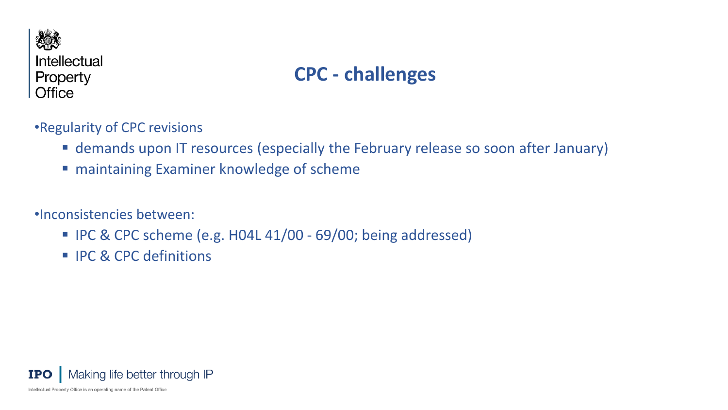

### **CPC - challenges**

•Regularity of CPC revisions

- demands upon IT resources (especially the February release so soon after January)
- maintaining Examiner knowledge of scheme

•Inconsistencies between:

- IPC & CPC scheme (e.g. H04L 41/00 69/00; being addressed)
- **IFC & CPC definitions**

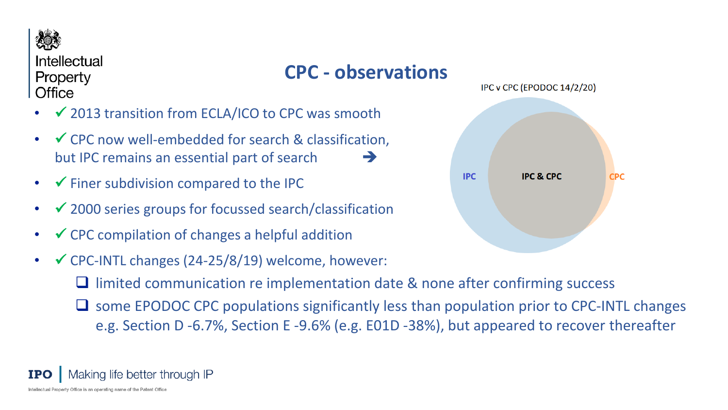

### **CPC - observations**

- 2013 transition from ECLA/ICO to CPC was smooth
- $\checkmark$  CPC now well-embedded for search & classification, but IPC remains an essential part of search
- $\checkmark$  Finer subdivision compared to the IPC
- $\bullet\quad$   $\checkmark$  2000 series groups for focussed search/classification
- $\bullet\quad$   $\checkmark$  CPC compilation of changes a helpful addition
- $\checkmark$  CPC-INTL changes (24-25/8/19) welcome, however:
	- $\Box$  limited communication re implementation date & none after confirming success
	- some EPODOC CPC populations significantly less than population prior to CPC-INTL changes e.g. Section D -6.7%, Section E -9.6% (e.g. E01D -38%), but appeared to recover thereafter



#### Making life better through IP